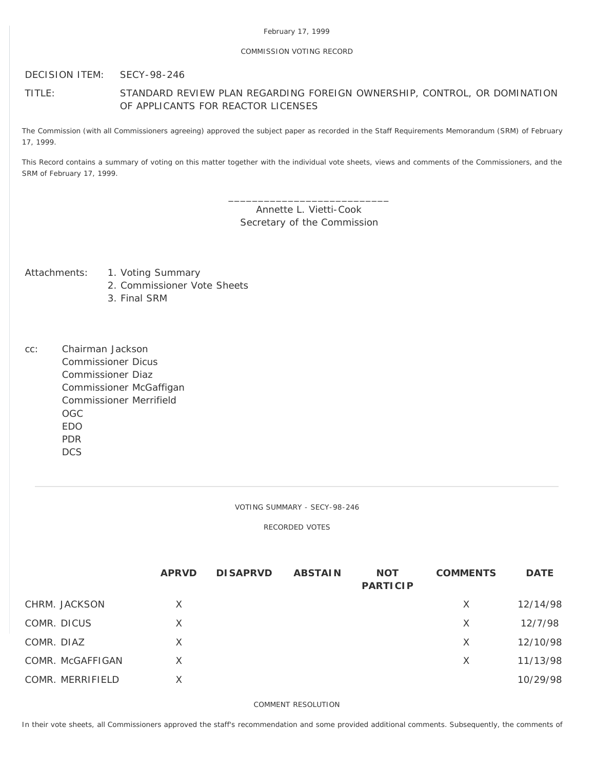## COMMISSION VOTING RECORD

DECISION ITEM: SECY-98-246

# TITLE: STANDARD REVIEW PLAN REGARDING FOREIGN OWNERSHIP, CONTROL, OR DOMINATION OF APPLICANTS FOR REACTOR LICENSES

The Commission (with all Commissioners agreeing) approved the subject paper as recorded in the Staff Requirements Memorandum (SRM) of February 17, 1999.

This Record contains a summary of voting on this matter together with the individual vote sheets, views and comments of the Commissioners, and the SRM of February 17, 1999.

> \_\_\_\_\_\_\_\_\_\_\_\_\_\_\_\_\_\_\_\_\_\_\_\_\_\_\_ Annette L. Vietti-Cook Secretary of the Commission

- Attachments: 1. Voting Summary
	- 2. Commissioner Vote Sheets
	- 3. Final SRM
- cc: Chairman Jackson Commissioner Dicus Commissioner Diaz Commissioner McGaffigan Commissioner Merrifield OGC EDO PDR **DCS**

VOTING SUMMARY - SECY-98-246

RECORDED VOTES

|             |                  | <b>APRVD</b> | <b>DISAPRVD</b> | <b>ABSTAIN</b> | <b>NOT</b><br><b>PARTICIP</b> | <b>COMMENTS</b> | <b>DATE</b> |
|-------------|------------------|--------------|-----------------|----------------|-------------------------------|-----------------|-------------|
|             | CHRM. JACKSON    | X            |                 |                |                               | X               | 12/14/98    |
| COMR. DICUS |                  | X            |                 |                |                               | X               | 12/7/98     |
| COMR. DIAZ  |                  | X            |                 |                |                               | X               | 12/10/98    |
|             | COMR. McGAFFIGAN | X            |                 |                |                               | X               | 11/13/98    |
|             | COMR. MERRIFIELD | X            |                 |                |                               |                 | 10/29/98    |

COMMENT RESOLUTION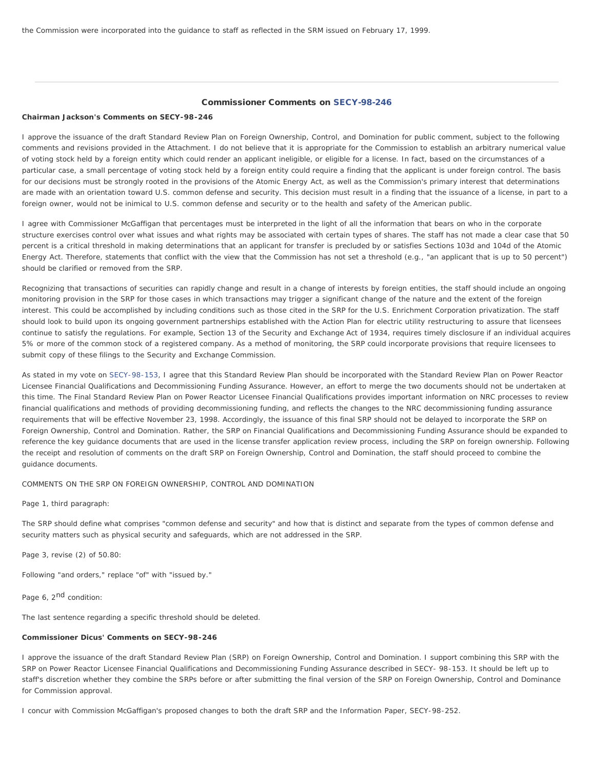the Commission were incorporated into the guidance to staff as reflected in the SRM issued on February 17, 1999.

## Commissioner Comments on [SECY-98-246](http://www.nrc.gov/reading-rm/doc-collections/commission/secys/1998/secy1998-246/1998-246scy.html)

### **Chairman Jackson's Comments on SECY-98-246**

I approve the issuance of the draft Standard Review Plan on Foreign Ownership, Control, and Domination for public comment, subject to the following comments and revisions provided in the Attachment. I do not believe that it is appropriate for the Commission to establish an arbitrary numerical value of voting stock held by a foreign entity which could render an applicant ineligible, or eligible for a license. In fact, based on the circumstances of a particular case, a small percentage of voting stock held by a foreign entity could require a finding that the applicant is under foreign control. The basis for our decisions must be strongly rooted in the provisions of the Atomic Energy Act, as well as the Commission's primary interest that determinations are made with an orientation toward U.S. common defense and security. This decision must result in a finding that the issuance of a license, in part to a foreign owner, would not be inimical to U.S. common defense and security or to the health and safety of the American public.

I agree with Commissioner McGaffigan that percentages must be interpreted in the light of all the information that bears on who in the corporate structure exercises control over what issues and what rights may be associated with certain types of shares. The staff has not made a clear case that 50 percent is a critical threshold in making determinations that an applicant for transfer is precluded by or satisfies Sections 103d and 104d of the Atomic Energy Act. Therefore, statements that conflict with the view that the Commission has not set a threshold (e.g., "an applicant that is up to 50 percent") should be clarified or removed from the SRP.

Recognizing that transactions of securities can rapidly change and result in a change of interests by foreign entities, the staff should include an ongoing monitoring provision in the SRP for those cases in which transactions may trigger a significant change of the nature and the extent of the foreign interest. This could be accomplished by including conditions such as those cited in the SRP for the U.S. Enrichment Corporation privatization. The staff should look to build upon its ongoing government partnerships established with the Action Plan for electric utility restructuring to assure that licensees continue to satisfy the regulations. For example, Section 13 of the Security and Exchange Act of 1934, requires timely disclosure if an individual acquires 5% or more of the common stock of a registered company. As a method of monitoring, the SRP could incorporate provisions that require licensees to submit copy of these filings to the Security and Exchange Commission.

As stated in my vote on [SECY-98-153,](http://www.nrc.gov/reading-rm/doc-collections/commission/secys/1998/secy1998-153/1998-153scy.html) I agree that this Standard Review Plan should be incorporated with the Standard Review Plan on Power Reactor Licensee Financial Qualifications and Decommissioning Funding Assurance. However, an effort to merge the two documents should not be undertaken at this time. The Final Standard Review Plan on Power Reactor Licensee Financial Qualifications provides important information on NRC processes to review financial qualifications and methods of providing decommissioning funding, and reflects the changes to the NRC decommissioning funding assurance requirements that will be effective November 23, 1998. Accordingly, the issuance of this final SRP should not be delayed to incorporate the SRP on Foreign Ownership, Control and Domination. Rather, the SRP on Financial Qualifications and Decommissioning Funding Assurance should be expanded to reference the key quidance documents that are used in the license transfer application review process, including the SRP on foreign ownership. Following the receipt and resolution of comments on the draft SRP on Foreign Ownership, Control and Domination, the staff should proceed to combine the guidance documents.

COMMENTS ON THE SRP ON FOREIGN OWNERSHIP, CONTROL AND DOMINATION

Page 1, third paragraph:

The SRP should define what comprises "common defense and security" and how that is distinct and separate from the types of common defense and security matters such as physical security and safeguards, which are not addressed in the SRP.

Page 3, revise (2) of 50.80:

Following "and orders," replace "of" with "issued by."

Page 6, 2<sup>nd</sup> condition:

The last sentence regarding a specific threshold should be deleted.

#### **Commissioner Dicus' Comments on SECY-98-246**

I approve the issuance of the draft Standard Review Plan (SRP) on Foreign Ownership, Control and Domination. I support combining this SRP with the SRP on Power Reactor Licensee Financial Qualifications and Decommissioning Funding Assurance described in SECY- 98-153. It should be left up to staff's discretion whether they combine the SRPs before or after submitting the final version of the SRP on Foreign Ownership, Control and Dominance for Commission approval.

I concur with Commission McGaffigan's proposed changes to both the draft SRP and the Information Paper, SECY-98-252.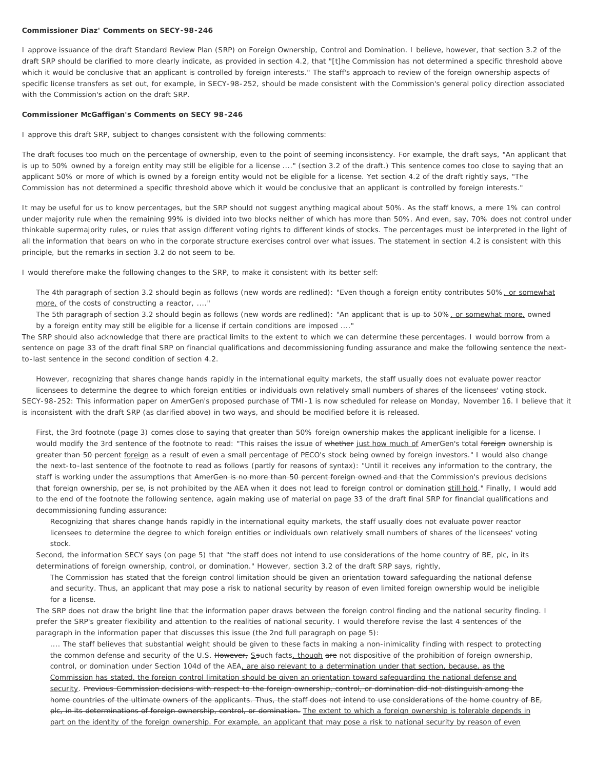#### **Commissioner Diaz' Comments on SECY-98-246**

I approve issuance of the draft Standard Review Plan (SRP) on Foreign Ownership, Control and Domination. I believe, however, that section 3.2 of the draft SRP should be clarified to more clearly indicate, as provided in section 4.2, that "[t]he Commission has not determined a specific threshold above which it would be conclusive that an applicant is controlled by foreign interests." The staff's approach to review of the foreign ownership aspects of specific license transfers as set out, for example, in SECY-98-252, should be made consistent with the Commission's general policy direction associated with the Commission's action on the draft SRP.

#### **Commissioner McGaffigan's Comments on SECY 98-246**

I approve this draft SRP, subject to changes consistent with the following comments:

The draft focuses too much on the percentage of ownership, even to the point of seeming inconsistency. For example, the draft says, "An applicant that is up to 50% owned by a foreign entity may still be eligible for a license ...." (section 3.2 of the draft.) This sentence comes too close to saying that an applicant 50% or more of which is owned by a foreign entity would *not* be eligible for a license. Yet section 4.2 of the draft rightly says, "The Commission has not determined a specific threshold above which it would be conclusive that an applicant is controlled by foreign interests."

It may be useful for us to know percentages, but the SRP should not suggest anything magical about 50%. As the staff knows, a mere 1% can control under majority rule when the remaining 99% is divided into two blocks neither of which has more than 50%. And even, say, 70% does not control under thinkable supermajority rules, or rules that assign different voting rights to different kinds of stocks. The percentages must be interpreted in the light of all the information that bears on who in the corporate structure exercises control over what issues. The statement in section 4.2 is consistent with this principle, but the remarks in section 3.2 do not seem to be.

I would therefore make the following changes to the SRP, to make it consistent with its better self:

The 4th paragraph of section 3.2 should begin as follows (new words are redlined): "Even though a foreign entity contributes 50%, or somewhat more, of the costs of constructing a reactor, ...."

The 5th paragraph of section 3.2 should begin as follows (new words are redlined): "An applicant that is up to 50%, or somewhat more, owned by a foreign entity may still be eligible for a license if certain conditions are imposed ...."

The SRP should also acknowledge that there are practical limits to the extent to which we can determine these percentages. I would borrow from a sentence on page 33 of the draft final SRP on financial qualifications and decommissioning funding assurance and make the following sentence the nextto-last sentence in the second condition of section 4.2.

However, recognizing that shares change hands rapidly in the international equity markets, the staff usually does not evaluate power reactor licensees to determine the degree to which foreign entities or individuals own relatively small numbers of shares of the licensees' voting stock. *SECY-98-252:* This information paper on AmerGen's proposed purchase of TMI-1 is now scheduled for release on Monday, November 16. I believe that it is inconsistent with the draft SRP (as clarified above) in two ways, and should be modified before it is released.

First, the 3rd footnote (page 3) comes close to saying that greater than 50% foreign ownership makes the applicant ineligible for a license. I would modify the 3rd sentence of the footnote to read: "This raises the issue of whether just how much of AmerGen's total foreign ownership is greater than 50 percent foreign as a result of even a small percentage of PECO's stock being owned by foreign investors." I would also change the next-to-last sentence of the footnote to read as follows (partly for reasons of syntax): "Until it receives any information to the contrary, the staff is working under the assumptions that AmerGen is no more than 50 percent foreign owned and that the Commission's previous decisions that foreign ownership, per se, is not prohibited by the AEA when it does not lead to foreign control or domination still hold." Finally, I would add to the end of the footnote the following sentence, again making use of material on page 33 of the draft final SRP for financial qualifications and decommissioning funding assurance:

Recognizing that shares change hands rapidly in the international equity markets, the staff usually does not evaluate power reactor licensees to determine the degree to which foreign entities or individuals own relatively small numbers of shares of the licensees' voting stock.

Second, the information SECY says (on page 5) that "the staff does not intend to use considerations of the home country of BE, plc, in its determinations of foreign ownership, control, or domination." However, section 3.2 of the draft SRP says, rightly,

The Commission has stated that the foreign control limitation should be given an orientation toward safeguarding the national defense and security. Thus, an applicant that may pose a risk to national security by reason of even limited foreign ownership would be ineligible for a license.

The SRP does not draw the bright line that the information paper draws between the foreign control finding and the national security finding. I prefer the SRP's greater flexibility and attention to the realities of national security. I would therefore revise the last 4 sentences of the paragraph in the information paper that discusses this issue (the 2nd full paragraph on page 5):

.... The staff believes that substantial weight should be given to these facts in making a non-inimicality finding with respect to protecting the common defense and security of the U.S. However, Ssuch facts, though are not dispositive of the prohibition of foreign ownership, control, or domination under Section 104d of the AEA, are also relevant to a determination under that section, because, as the Commission has stated, the foreign control limitation should be given an orientation toward safeguarding the national defense and security. Previous Commission decisions with respect to the foreign ownership, control, or domination did not distinguish among the home countries of the ultimate owners of the applicants. Thus, the staff does not intend to use considerations of the home country of BE, plc, in its determinations of foreign ownership, control, or domination. The extent to which a foreign ownership is tolerable depends in part on the identity of the foreign ownership. For example, an applicant that may pose a risk to national security by reason of even